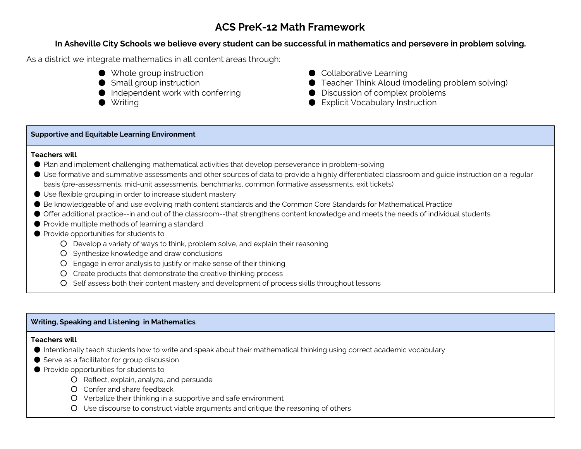# **ACS PreK-12 Math Framework**

# **In Asheville City Schools we believe every student can be successful in mathematics and persevere in problem solving.**

As a district we integrate mathematics in all content areas through:

- Whole group instruction
- Small group instruction
- Independent work with conferring
- Writing
- Collaborative Learning
- Teacher Think Aloud (modeling problem solving)
- Discussion of complex problems
- Explicit Vocabulary Instruction

# **Supportive and Equitable Learning Environment**

## **Teachers will**

- Plan and implement challenging mathematical activities that develop perseverance in problem-solving
- Use formative and summative assessments and other sources of data to provide a highly differentiated classroom and guide instruction on a regular basis (pre-assessments, mid-unit assessments, benchmarks, common formative assessments, exit tickets)
- Use flexible grouping in order to increase student mastery
- Be knowledgeable of and use evolving math content standards and the Common Core Standards for Mathematical Practice
- Offer additional practice--in and out of the classroom--that strengthens content knowledge and meets the needs of individual students
- Provide multiple methods of learning a standard
- Provide opportunities for students to
	- Develop a variety of ways to think, problem solve, and explain their reasoning
	- Synthesize knowledge and draw conclusions
	- Engage in error analysis to justify or make sense of their thinking
	- Create products that demonstrate the creative thinking process
	- Self assess both their content mastery and development of process skills throughout lessons

# **Writing, Speaking and Listening in Mathematics**

# **Teachers will**

- Intentionally teach students how to write and speak about their mathematical thinking using correct academic vocabulary
- Serve as a facilitator for group discussion
- Provide opportunities for students to
	- Reflect, explain, analyze, and persuade
	- Confer and share feedback
	- Verbalize their thinking in a supportive and safe environment
	- Use discourse to construct viable arguments and critique the reasoning of others